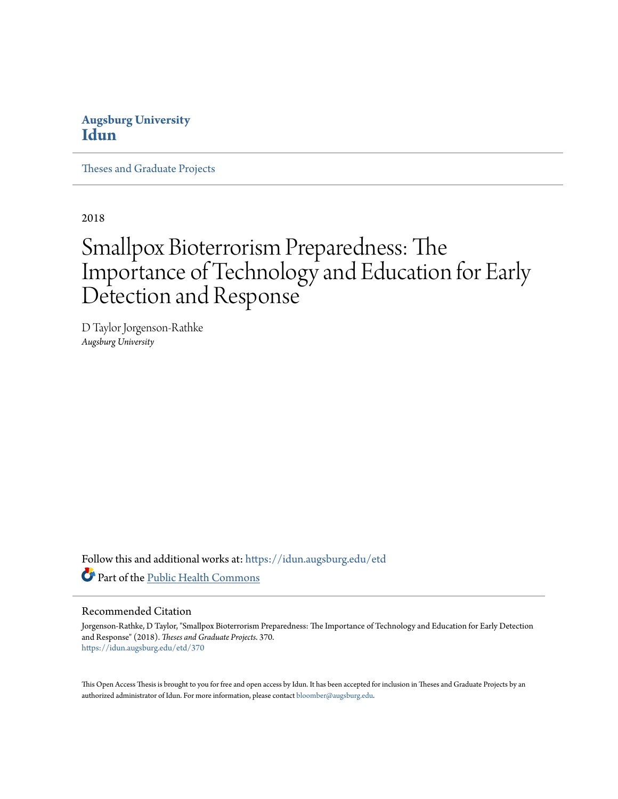# **Augsburg University [Idun](https://idun.augsburg.edu?utm_source=idun.augsburg.edu%2Fetd%2F370&utm_medium=PDF&utm_campaign=PDFCoverPages)**

[Theses and Graduate Projects](https://idun.augsburg.edu/etd?utm_source=idun.augsburg.edu%2Fetd%2F370&utm_medium=PDF&utm_campaign=PDFCoverPages)

2018

# Smallpox Bioterrorism Preparedness: The Importance of Technology and Education for Early Detection and Response

D Taylor Jorgenson-Rathke *Augsburg University*

Follow this and additional works at: [https://idun.augsburg.edu/etd](https://idun.augsburg.edu/etd?utm_source=idun.augsburg.edu%2Fetd%2F370&utm_medium=PDF&utm_campaign=PDFCoverPages) Part of the [Public Health Commons](http://network.bepress.com/hgg/discipline/738?utm_source=idun.augsburg.edu%2Fetd%2F370&utm_medium=PDF&utm_campaign=PDFCoverPages)

#### Recommended Citation

Jorgenson-Rathke, D Taylor, "Smallpox Bioterrorism Preparedness: The Importance of Technology and Education for Early Detection and Response" (2018). *Theses and Graduate Projects*. 370. [https://idun.augsburg.edu/etd/370](https://idun.augsburg.edu/etd/370?utm_source=idun.augsburg.edu%2Fetd%2F370&utm_medium=PDF&utm_campaign=PDFCoverPages)

This Open Access Thesis is brought to you for free and open access by Idun. It has been accepted for inclusion in Theses and Graduate Projects by an authorized administrator of Idun. For more information, please contact [bloomber@augsburg.edu.](mailto:bloomber@augsburg.edu)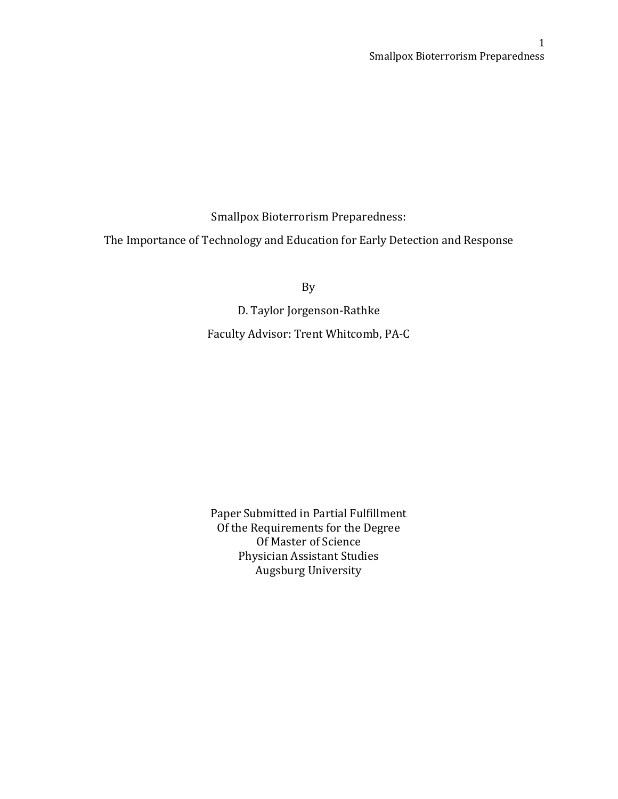Smallpox Bioterrorism Preparedness:

The Importance of Technology and Education for Early Detection and Response

By

D. Taylor Jorgenson-Rathke Faculty Advisor: Trent Whitcomb, PA-C

Paper Submitted in Partial Fulfillment Of the Requirements for the Degree Of Master of Science Physician Assistant Studies Augsburg University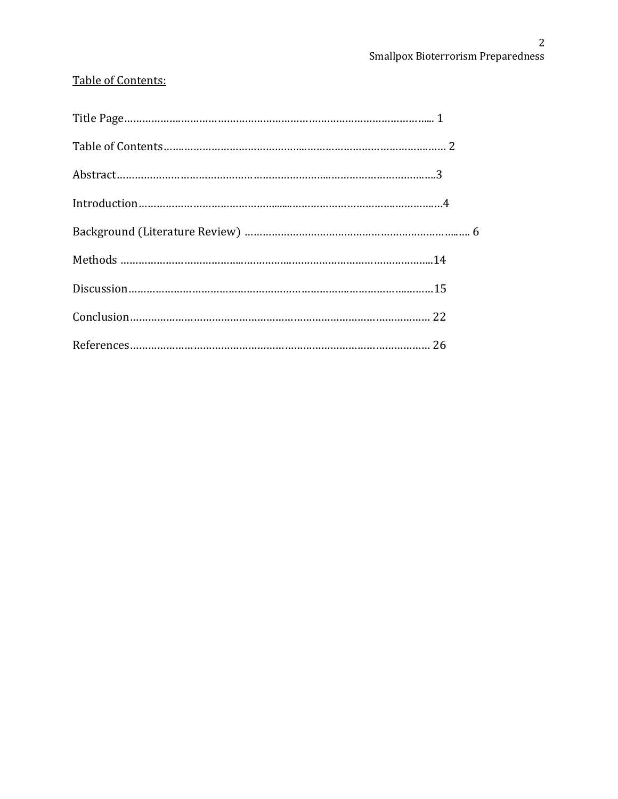# Table of Contents: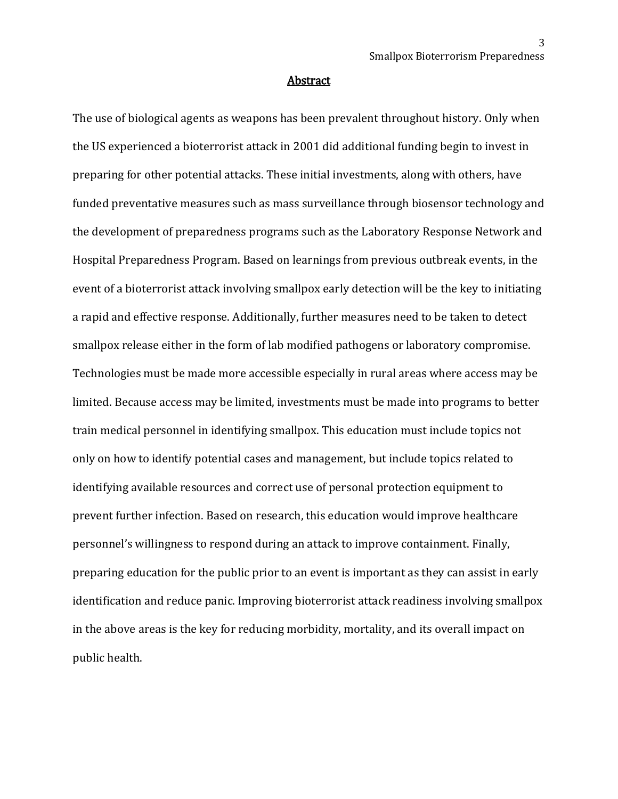#### Abstract

The use of biological agents as weapons has been prevalent throughout history. Only when the US experienced a bioterrorist attack in 2001 did additional funding begin to invest in preparing for other potential attacks. These initial investments, along with others, have funded preventative measures such as mass surveillance through biosensor technology and the development of preparedness programs such as the Laboratory Response Network and Hospital Preparedness Program. Based on learnings from previous outbreak events, in the event of a bioterrorist attack involving smallpox early detection will be the key to initiating a rapid and effective response. Additionally, further measures need to be taken to detect smallpox release either in the form of lab modified pathogens or laboratory compromise. Technologies must be made more accessible especially in rural areas where access may be limited. Because access may be limited, investments must be made into programs to better train medical personnel in identifying smallpox. This education must include topics not only on how to identify potential cases and management, but include topics related to identifying available resources and correct use of personal protection equipment to prevent further infection. Based on research, this education would improve healthcare personnel's willingness to respond during an attack to improve containment. Finally, preparing education for the public prior to an event is important as they can assist in early identification and reduce panic. Improving bioterrorist attack readiness involving smallpox in the above areas is the key for reducing morbidity, mortality, and its overall impact on public health.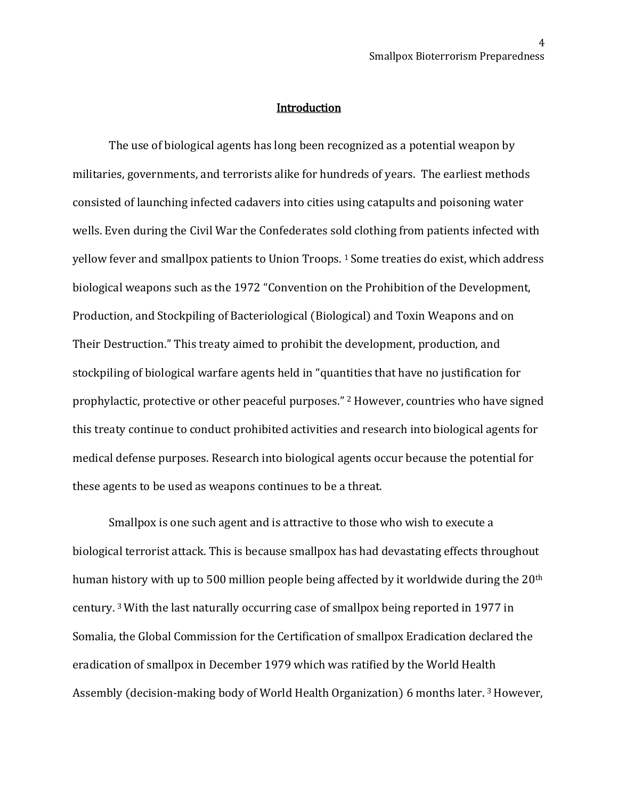#### **Introduction**

The use of biological agents has long been recognized as a potential weapon by militaries, governments, and terrorists alike for hundreds of years. The earliest methods consisted of launching infected cadavers into cities using catapults and poisoning water wells. Even during the Civil War the Confederates sold clothing from patients infected with yellow fever and smallpox patients to Union Troops. 1 Some treaties do exist, which address biological weapons such as the 1972 "Convention on the Prohibition of the Development, Production, and Stockpiling of Bacteriological (Biological) and Toxin Weapons and on Their Destruction." This treaty aimed to prohibit the development, production, and stockpiling of biological warfare agents held in "quantities that have no justification for prophylactic, protective or other peaceful purposes." <sup>2</sup> However, countries who have signed this treaty continue to conduct prohibited activities and research into biological agents for medical defense purposes. Research into biological agents occur because the potential for these agents to be used as weapons continues to be a threat.

Smallpox is one such agent and is attractive to those who wish to execute a biological terrorist attack. This is because smallpox has had devastating effects throughout human history with up to 500 million people being affected by it worldwide during the 20<sup>th</sup> century. 3 With the last naturally occurring case of smallpox being reported in 1977 in Somalia, the Global Commission for the Certification of smallpox Eradication declared the eradication of smallpox in December 1979 which was ratified by the World Health Assembly (decision-making body of World Health Organization) 6 months later.<sup>3</sup> However,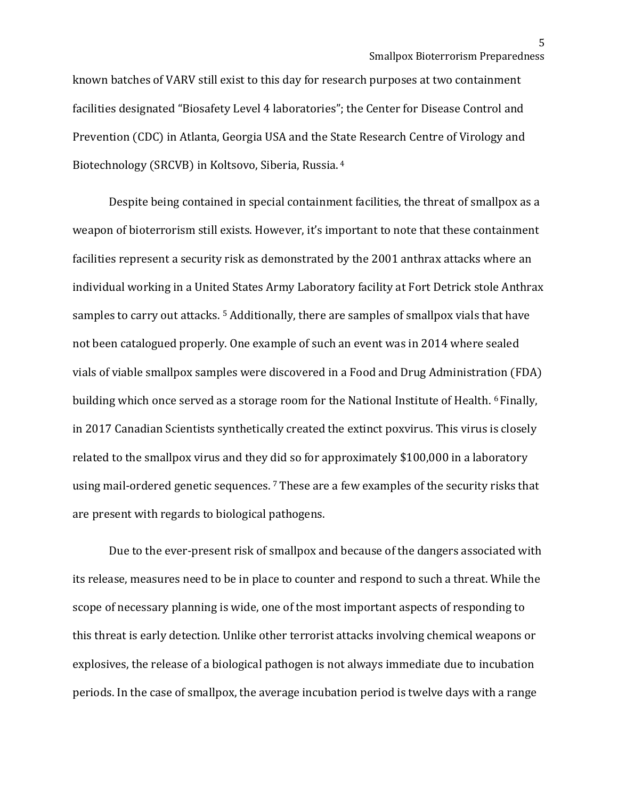known batches of VARV still exist to this day for research purposes at two containment facilities designated "Biosafety Level 4 laboratories"; the Center for Disease Control and Prevention (CDC) in Atlanta, Georgia USA and the State Research Centre of Virology and Biotechnology (SRCVB) in Koltsovo, Siberia, Russia. <sup>4</sup>

Despite being contained in special containment facilities, the threat of smallpox as a weapon of bioterrorism still exists. However, it's important to note that these containment facilities represent a security risk as demonstrated by the 2001 anthrax attacks where an individual working in a United States Army Laboratory facility at Fort Detrick stole Anthrax samples to carry out attacks.<sup>5</sup> Additionally, there are samples of smallpox vials that have not been catalogued properly. One example of such an event was in 2014 where sealed vials of viable smallpox samples were discovered in a Food and Drug Administration (FDA) building which once served as a storage room for the National Institute of Health. <sup>6</sup> Finally, in 2017 Canadian Scientists synthetically created the extinct poxvirus. This virus is closely related to the smallpox virus and they did so for approximately \$100,000 in a laboratory using mail-ordered genetic sequences. <sup>7</sup> These are a few examples of the security risks that are present with regards to biological pathogens.

Due to the ever-present risk of smallpox and because of the dangers associated with its release, measures need to be in place to counter and respond to such a threat. While the scope of necessary planning is wide, one of the most important aspects of responding to this threat is early detection. Unlike other terrorist attacks involving chemical weapons or explosives, the release of a biological pathogen is not always immediate due to incubation periods. In the case of smallpox, the average incubation period is twelve days with a range

5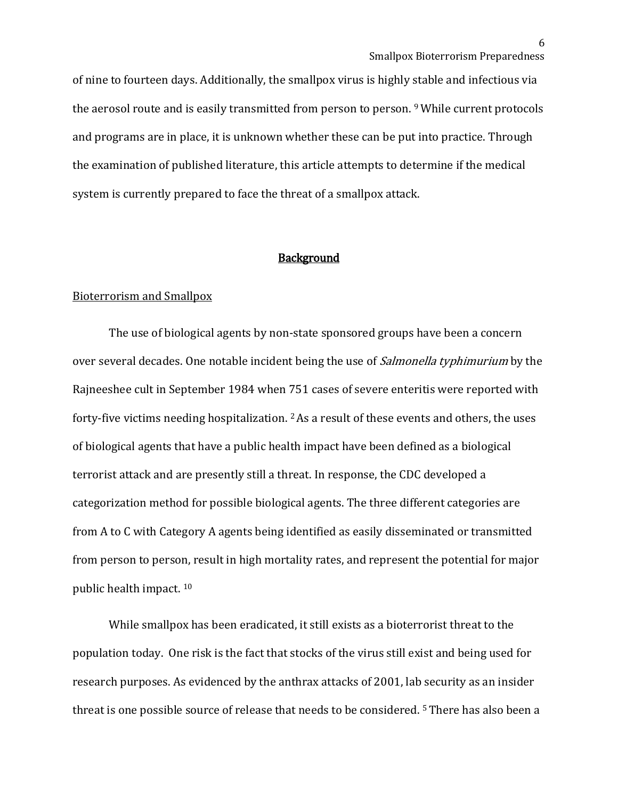of nine to fourteen days. Additionally, the smallpox virus is highly stable and infectious via the aerosol route and is easily transmitted from person to person. 9 While current protocols and programs are in place, it is unknown whether these can be put into practice. Through the examination of published literature, this article attempts to determine if the medical system is currently prepared to face the threat of a smallpox attack.

#### **Background**

## Bioterrorism and Smallpox

The use of biological agents by non-state sponsored groups have been a concern over several decades. One notable incident being the use of *Salmonella typhimurium* by the Rajneeshee cult in September 1984 when 751 cases of severe enteritis were reported with forty-five victims needing hospitalization.  $2$  As a result of these events and others, the uses of biological agents that have a public health impact have been defined as a biological terrorist attack and are presently still a threat. In response, the CDC developed a categorization method for possible biological agents. The three different categories are from A to C with Category A agents being identified as easily disseminated or transmitted from person to person, result in high mortality rates, and represent the potential for major public health impact. 10

While smallpox has been eradicated, it still exists as a bioterrorist threat to the population today. One risk is the fact that stocks of the virus still exist and being used for research purposes. As evidenced by the anthrax attacks of 2001, lab security as an insider threat is one possible source of release that needs to be considered. 5 There has also been a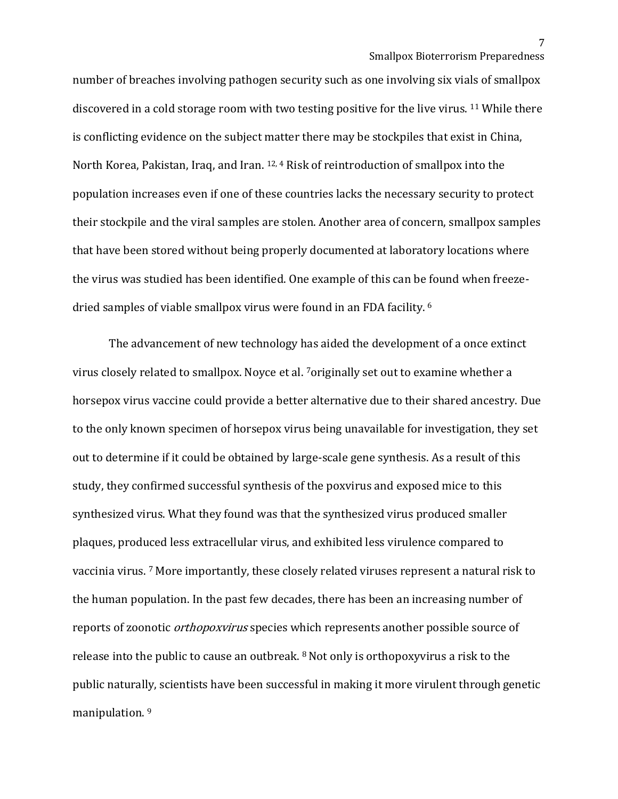number of breaches involving pathogen security such as one involving six vials of smallpox discovered in a cold storage room with two testing positive for the live virus. 11 While there is conflicting evidence on the subject matter there may be stockpiles that exist in China, North Korea, Pakistan, Iraq, and Iran. 12, 4 Risk of reintroduction of smallpox into the population increases even if one of these countries lacks the necessary security to protect their stockpile and the viral samples are stolen. Another area of concern, smallpox samples that have been stored without being properly documented at laboratory locations where the virus was studied has been identified. One example of this can be found when freezedried samples of viable smallpox virus were found in an FDA facility. <sup>6</sup>

The advancement of new technology has aided the development of a once extinct virus closely related to smallpox. Noyce et al. 7originally set out to examine whether a horsepox virus vaccine could provide a better alternative due to their shared ancestry. Due to the only known specimen of horsepox virus being unavailable for investigation, they set out to determine if it could be obtained by large-scale gene synthesis. As a result of this study, they confirmed successful synthesis of the poxvirus and exposed mice to this synthesized virus. What they found was that the synthesized virus produced smaller plaques, produced less extracellular virus, and exhibited less virulence compared to vaccinia virus. 7 More importantly, these closely related viruses represent a natural risk to the human population. In the past few decades, there has been an increasing number of reports of zoonotic orthopoxvirus species which represents another possible source of release into the public to cause an outbreak. 8 Not only is orthopoxyvirus a risk to the public naturally, scientists have been successful in making it more virulent through genetic manipulation.<sup>9</sup>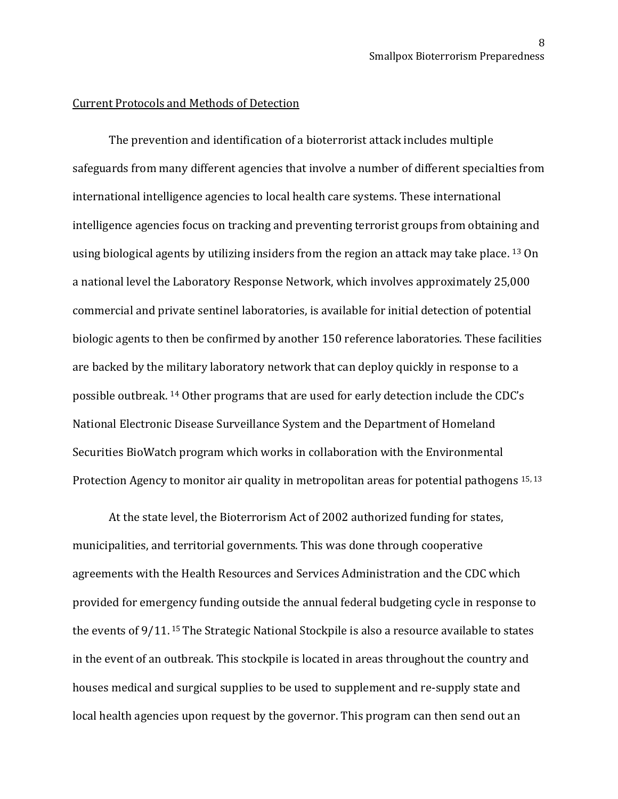#### Current Protocols and Methods of Detection

The prevention and identification of a bioterrorist attack includes multiple safeguards from many different agencies that involve a number of different specialties from international intelligence agencies to local health care systems. These international intelligence agencies focus on tracking and preventing terrorist groups from obtaining and using biological agents by utilizing insiders from the region an attack may take place. <sup>13</sup> On a national level the Laboratory Response Network, which involves approximately 25,000 commercial and private sentinel laboratories, is available for initial detection of potential biologic agents to then be confirmed by another 150 reference laboratories. These facilities are backed by the military laboratory network that can deploy quickly in response to a possible outbreak. <sup>14</sup> Other programs that are used for early detection include the CDC's National Electronic Disease Surveillance System and the Department of Homeland Securities BioWatch program which works in collaboration with the Environmental Protection Agency to monitor air quality in metropolitan areas for potential pathogens 15, 13

At the state level, the Bioterrorism Act of 2002 authorized funding for states, municipalities, and territorial governments. This was done through cooperative agreements with the Health Resources and Services Administration and the CDC which provided for emergency funding outside the annual federal budgeting cycle in response to the events of 9/11. 15 The Strategic National Stockpile is also a resource available to states in the event of an outbreak. This stockpile is located in areas throughout the country and houses medical and surgical supplies to be used to supplement and re-supply state and local health agencies upon request by the governor. This program can then send out an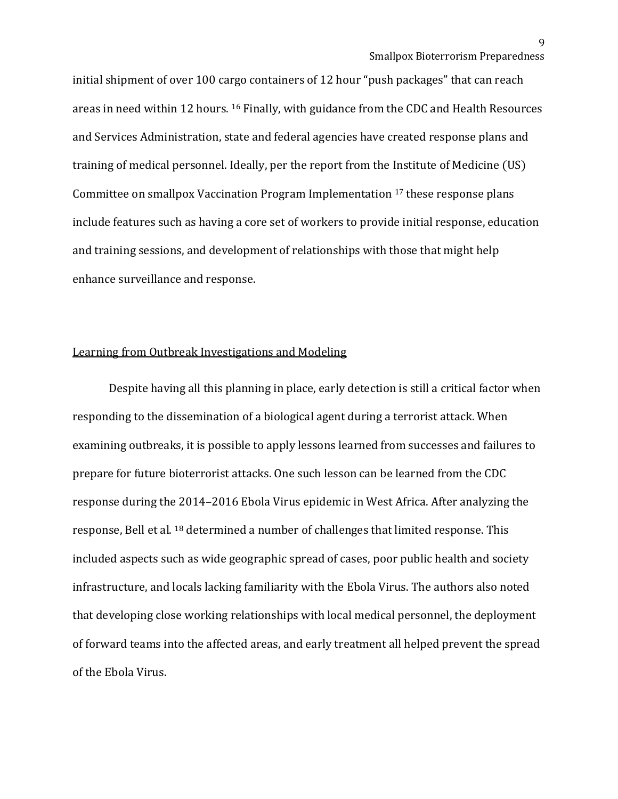initial shipment of over 100 cargo containers of 12 hour "push packages" that can reach areas in need within 12 hours. 16 Finally, with guidance from the CDC and Health Resources and Services Administration, state and federal agencies have created response plans and training of medical personnel. Ideally, per the report from the Institute of Medicine (US) Committee on smallpox Vaccination Program Implementation <sup>17</sup> these response plans include features such as having a core set of workers to provide initial response, education and training sessions, and development of relationships with those that might help enhance surveillance and response.

## Learning from Outbreak Investigations and Modeling

Despite having all this planning in place, early detection is still a critical factor when responding to the dissemination of a biological agent during a terrorist attack. When examining outbreaks, it is possible to apply lessons learned from successes and failures to prepare for future bioterrorist attacks. One such lesson can be learned from the CDC response during the 2014–2016 Ebola Virus epidemic in West Africa. After analyzing the response, Bell et al. 18 determined a number of challenges that limited response. This included aspects such as wide geographic spread of cases, poor public health and society infrastructure, and locals lacking familiarity with the Ebola Virus. The authors also noted that developing close working relationships with local medical personnel, the deployment of forward teams into the affected areas, and early treatment all helped prevent the spread of the Ebola Virus.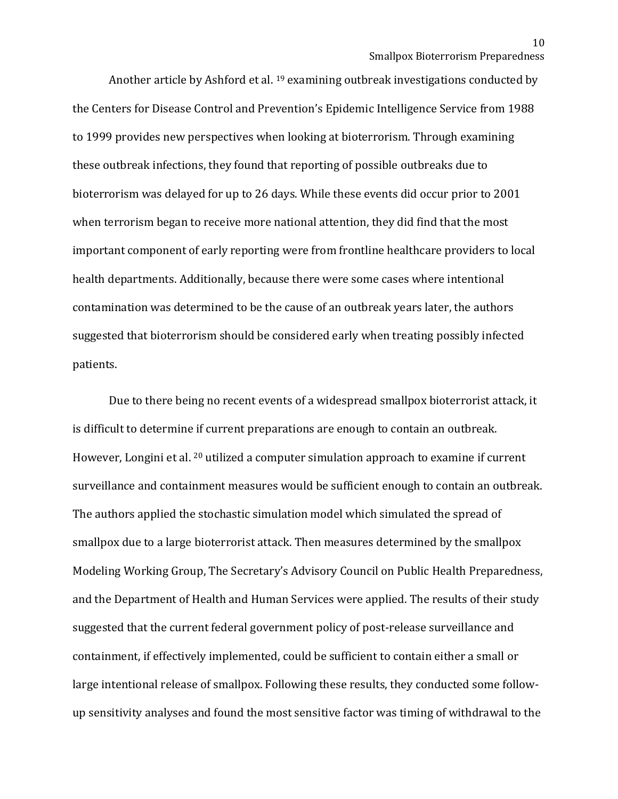Another article by Ashford et al. <sup>19</sup> examining outbreak investigations conducted by the Centers for Disease Control and Prevention's Epidemic Intelligence Service from 1988 to 1999 provides new perspectives when looking at bioterrorism. Through examining these outbreak infections, they found that reporting of possible outbreaks due to bioterrorism was delayed for up to 26 days. While these events did occur prior to 2001 when terrorism began to receive more national attention, they did find that the most important component of early reporting were from frontline healthcare providers to local health departments. Additionally, because there were some cases where intentional contamination was determined to be the cause of an outbreak years later, the authors suggested that bioterrorism should be considered early when treating possibly infected patients.

Due to there being no recent events of a widespread smallpox bioterrorist attack, it is difficult to determine if current preparations are enough to contain an outbreak. However, Longini et al. <sup>20</sup> utilized a computer simulation approach to examine if current surveillance and containment measures would be sufficient enough to contain an outbreak. The authors applied the stochastic simulation model which simulated the spread of smallpox due to a large bioterrorist attack. Then measures determined by the smallpox Modeling Working Group, The Secretary's Advisory Council on Public Health Preparedness, and the Department of Health and Human Services were applied. The results of their study suggested that the current federal government policy of post-release surveillance and containment, if effectively implemented, could be sufficient to contain either a small or large intentional release of smallpox. Following these results, they conducted some followup sensitivity analyses and found the most sensitive factor was timing of withdrawal to the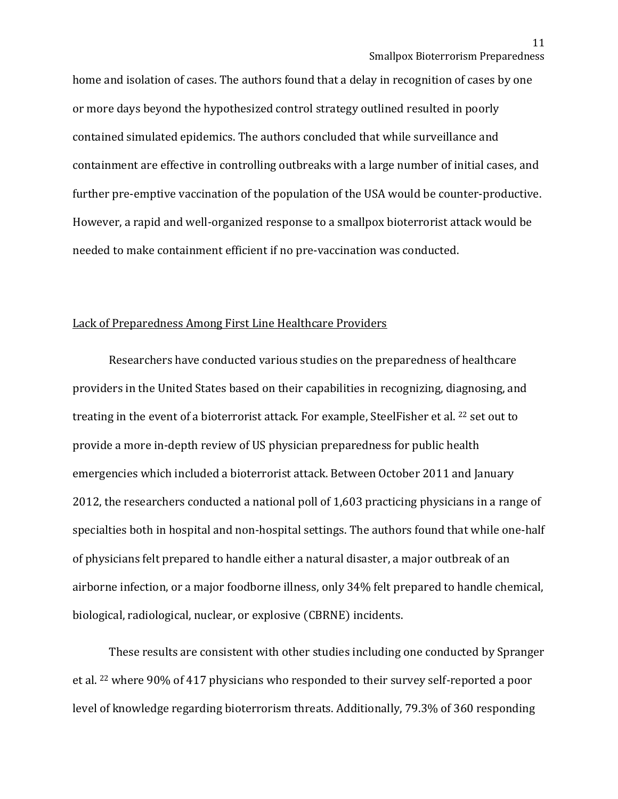home and isolation of cases. The authors found that a delay in recognition of cases by one or more days beyond the hypothesized control strategy outlined resulted in poorly contained simulated epidemics. The authors concluded that while surveillance and containment are effective in controlling outbreaks with a large number of initial cases, and further pre-emptive vaccination of the population of the USA would be counter-productive. However, a rapid and well-organized response to a smallpox bioterrorist attack would be needed to make containment efficient if no pre-vaccination was conducted.

## Lack of Preparedness Among First Line Healthcare Providers

Researchers have conducted various studies on the preparedness of healthcare providers in the United States based on their capabilities in recognizing, diagnosing, and treating in the event of a bioterrorist attack. For example, SteelFisher et al. <sup>22</sup> set out to provide a more in-depth review of US physician preparedness for public health emergencies which included a bioterrorist attack. Between October 2011 and January 2012, the researchers conducted a national poll of 1,603 practicing physicians in a range of specialties both in hospital and non-hospital settings. The authors found that while one-half of physicians felt prepared to handle either a natural disaster, a major outbreak of an airborne infection, or a major foodborne illness, only 34% felt prepared to handle chemical, biological, radiological, nuclear, or explosive (CBRNE) incidents.

These results are consistent with other studies including one conducted by Spranger et al. 22 where 90% of 417 physicians who responded to their survey self-reported a poor level of knowledge regarding bioterrorism threats. Additionally, 79.3% of 360 responding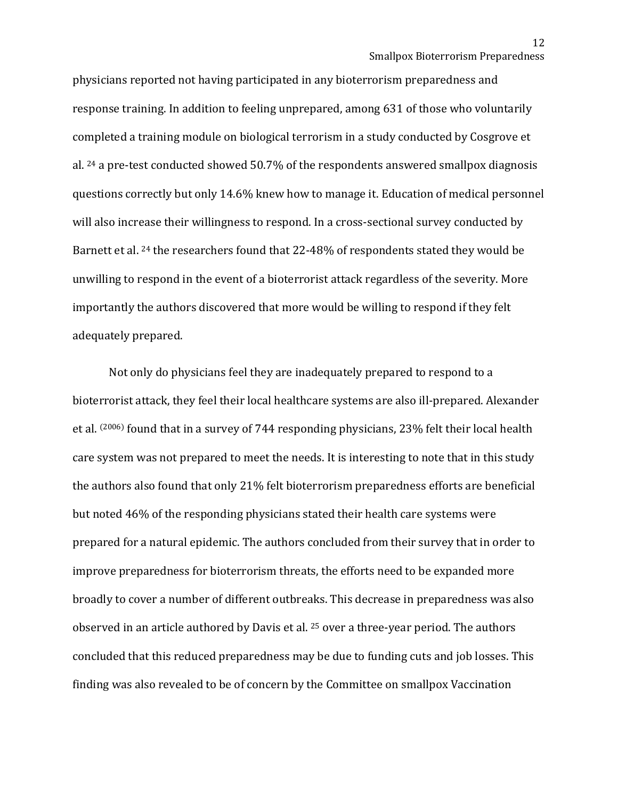physicians reported not having participated in any bioterrorism preparedness and response training. In addition to feeling unprepared, among 631 of those who voluntarily completed a training module on biological terrorism in a study conducted by Cosgrove et al. 24 a pre-test conducted showed 50.7% of the respondents answered smallpox diagnosis questions correctly but only 14.6% knew how to manage it. Education of medical personnel will also increase their willingness to respond. In a cross-sectional survey conducted by Barnett et al. 24 the researchers found that 22-48% of respondents stated they would be unwilling to respond in the event of a bioterrorist attack regardless of the severity. More importantly the authors discovered that more would be willing to respond if they felt adequately prepared.

Not only do physicians feel they are inadequately prepared to respond to a bioterrorist attack, they feel their local healthcare systems are also ill-prepared. Alexander et al. (2006) found that in a survey of 744 responding physicians, 23% felt their local health care system was not prepared to meet the needs. It is interesting to note that in this study the authors also found that only 21% felt bioterrorism preparedness efforts are beneficial but noted 46% of the responding physicians stated their health care systems were prepared for a natural epidemic. The authors concluded from their survey that in order to improve preparedness for bioterrorism threats, the efforts need to be expanded more broadly to cover a number of different outbreaks. This decrease in preparedness was also observed in an article authored by Davis et al. <sup>25</sup> over a three-year period. The authors concluded that this reduced preparedness may be due to funding cuts and job losses. This finding was also revealed to be of concern by the Committee on smallpox Vaccination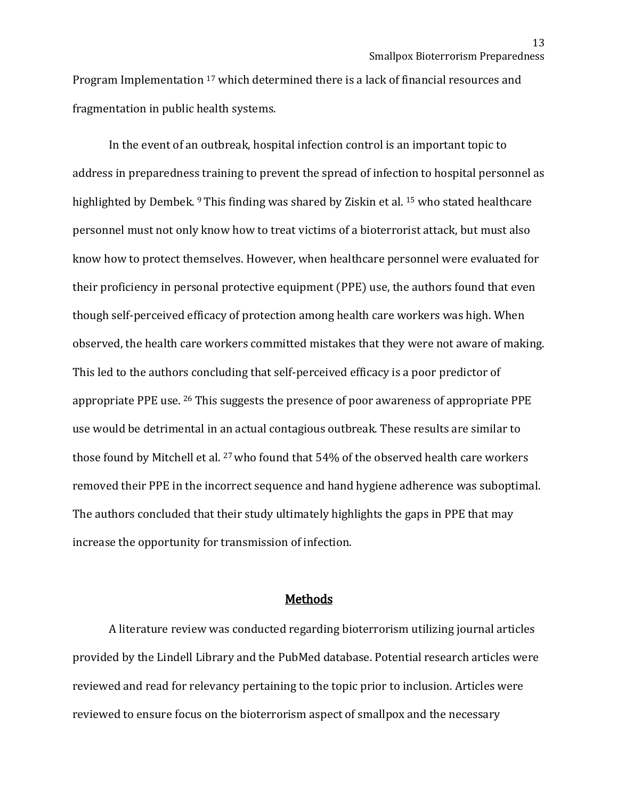Program Implementation 17 which determined there is a lack of financial resources and fragmentation in public health systems.

In the event of an outbreak, hospital infection control is an important topic to address in preparedness training to prevent the spread of infection to hospital personnel as highlighted by Dembek. <sup>9</sup> This finding was shared by Ziskin et al. <sup>15</sup> who stated healthcare personnel must not only know how to treat victims of a bioterrorist attack, but must also know how to protect themselves. However, when healthcare personnel were evaluated for their proficiency in personal protective equipment (PPE) use, the authors found that even though self-perceived efficacy of protection among health care workers was high. When observed, the health care workers committed mistakes that they were not aware of making. This led to the authors concluding that self-perceived efficacy is a poor predictor of appropriate PPE use. <sup>26</sup> This suggests the presence of poor awareness of appropriate PPE use would be detrimental in an actual contagious outbreak. These results are similar to those found by Mitchell et al. <sup>27</sup> who found that 54% of the observed health care workers removed their PPE in the incorrect sequence and hand hygiene adherence was suboptimal. The authors concluded that their study ultimately highlights the gaps in PPE that may increase the opportunity for transmission of infection.

# Methods

A literature review was conducted regarding bioterrorism utilizing journal articles provided by the Lindell Library and the PubMed database. Potential research articles were reviewed and read for relevancy pertaining to the topic prior to inclusion. Articles were reviewed to ensure focus on the bioterrorism aspect of smallpox and the necessary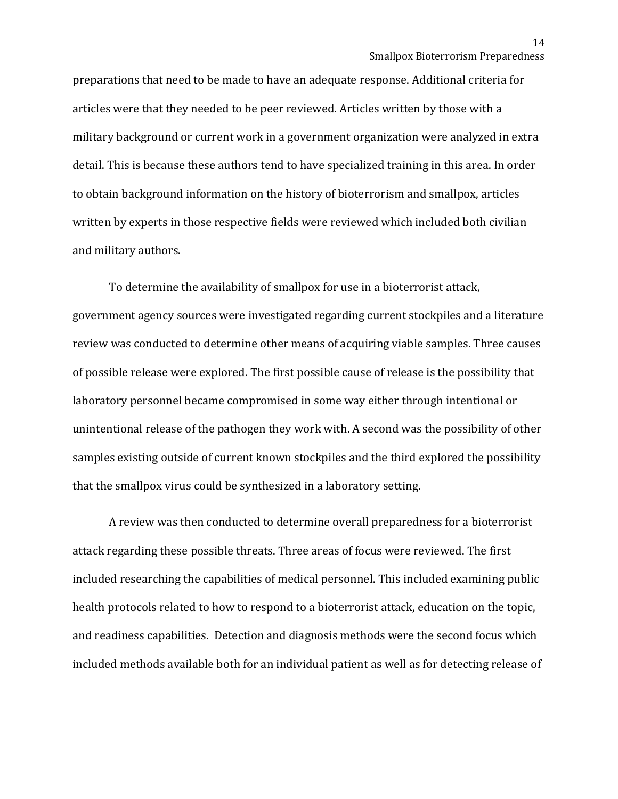preparations that need to be made to have an adequate response. Additional criteria for articles were that they needed to be peer reviewed. Articles written by those with a military background or current work in a government organization were analyzed in extra detail. This is because these authors tend to have specialized training in this area. In order to obtain background information on the history of bioterrorism and smallpox, articles written by experts in those respective fields were reviewed which included both civilian and military authors.

To determine the availability of smallpox for use in a bioterrorist attack, government agency sources were investigated regarding current stockpiles and a literature review was conducted to determine other means of acquiring viable samples. Three causes of possible release were explored. The first possible cause of release is the possibility that laboratory personnel became compromised in some way either through intentional or unintentional release of the pathogen they work with. A second was the possibility of other samples existing outside of current known stockpiles and the third explored the possibility that the smallpox virus could be synthesized in a laboratory setting.

A review was then conducted to determine overall preparedness for a bioterrorist attack regarding these possible threats. Three areas of focus were reviewed. The first included researching the capabilities of medical personnel. This included examining public health protocols related to how to respond to a bioterrorist attack, education on the topic, and readiness capabilities. Detection and diagnosis methods were the second focus which included methods available both for an individual patient as well as for detecting release of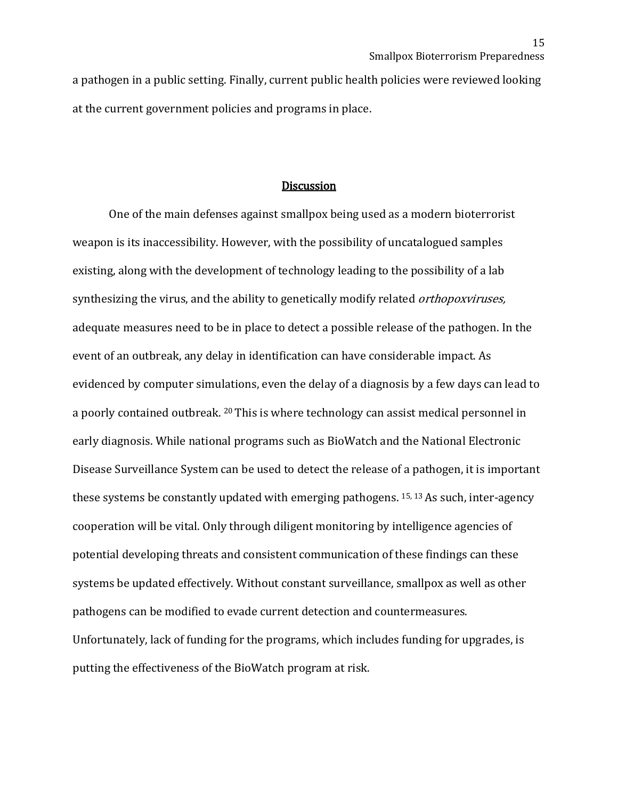a pathogen in a public setting. Finally, current public health policies were reviewed looking at the current government policies and programs in place.

#### **Discussion**

One of the main defenses against smallpox being used as a modern bioterrorist weapon is its inaccessibility. However, with the possibility of uncatalogued samples existing, along with the development of technology leading to the possibility of a lab synthesizing the virus, and the ability to genetically modify related *orthopoxviruses*, adequate measures need to be in place to detect a possible release of the pathogen. In the event of an outbreak, any delay in identification can have considerable impact. As evidenced by computer simulations, even the delay of a diagnosis by a few days can lead to a poorly contained outbreak. 20 This is where technology can assist medical personnel in early diagnosis. While national programs such as BioWatch and the National Electronic Disease Surveillance System can be used to detect the release of a pathogen, it is important these systems be constantly updated with emerging pathogens. 15, 13 As such, inter-agency cooperation will be vital. Only through diligent monitoring by intelligence agencies of potential developing threats and consistent communication of these findings can these systems be updated effectively. Without constant surveillance, smallpox as well as other pathogens can be modified to evade current detection and countermeasures. Unfortunately, lack of funding for the programs, which includes funding for upgrades, is putting the effectiveness of the BioWatch program at risk.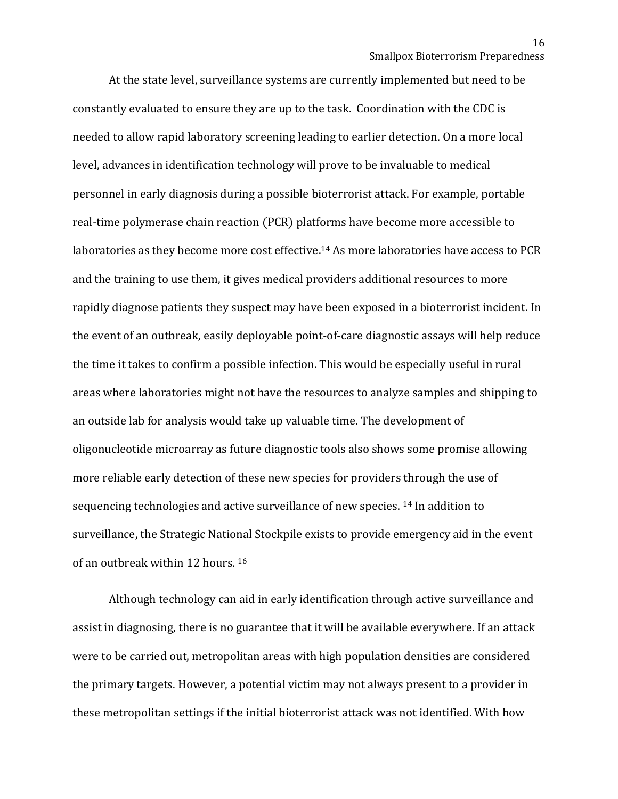At the state level, surveillance systems are currently implemented but need to be constantly evaluated to ensure they are up to the task. Coordination with the CDC is needed to allow rapid laboratory screening leading to earlier detection. On a more local level, advances in identification technology will prove to be invaluable to medical personnel in early diagnosis during a possible bioterrorist attack. For example, portable real-time polymerase chain reaction (PCR) platforms have become more accessible to laboratories as they become more cost effective.14 As more laboratories have access to PCR and the training to use them, it gives medical providers additional resources to more rapidly diagnose patients they suspect may have been exposed in a bioterrorist incident. In the event of an outbreak, easily deployable point-of-care diagnostic assays will help reduce the time it takes to confirm a possible infection. This would be especially useful in rural areas where laboratories might not have the resources to analyze samples and shipping to an outside lab for analysis would take up valuable time. The development of oligonucleotide microarray as future diagnostic tools also shows some promise allowing more reliable early detection of these new species for providers through the use of sequencing technologies and active surveillance of new species. <sup>14</sup> In addition to surveillance, the Strategic National Stockpile exists to provide emergency aid in the event of an outbreak within 12 hours. 16

Although technology can aid in early identification through active surveillance and assist in diagnosing, there is no guarantee that it will be available everywhere. If an attack were to be carried out, metropolitan areas with high population densities are considered the primary targets. However, a potential victim may not always present to a provider in these metropolitan settings if the initial bioterrorist attack was not identified. With how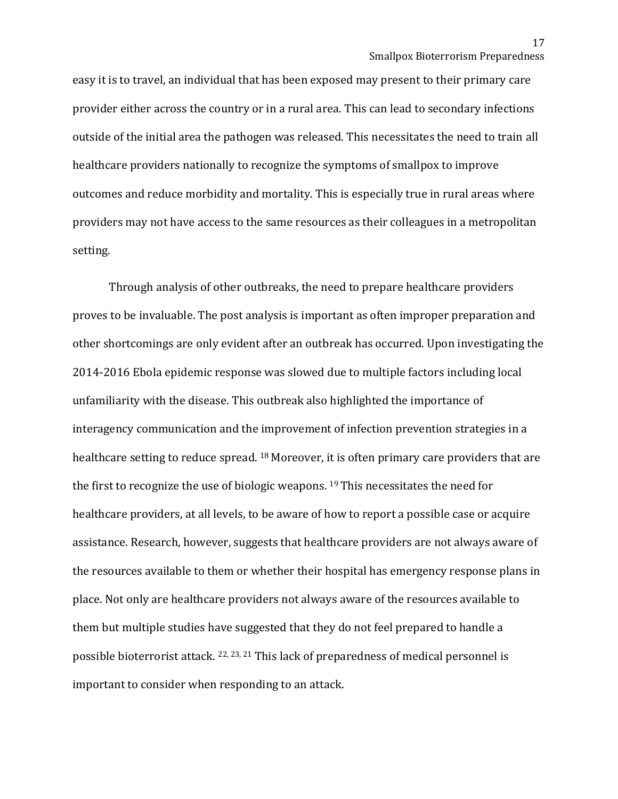easy it is to travel, an individual that has been exposed may present to their primary care provider either across the country or in a rural area. This can lead to secondary infections outside of the initial area the pathogen was released. This necessitates the need to train all healthcare providers nationally to recognize the symptoms of smallpox to improve outcomes and reduce morbidity and mortality. This is especially true in rural areas where providers may not have access to the same resources as their colleagues in a metropolitan setting.

Through analysis of other outbreaks, the need to prepare healthcare providers proves to be invaluable. The post analysis is important as often improper preparation and other shortcomings are only evident after an outbreak has occurred. Upon investigating the 2014-2016 Ebola epidemic response was slowed due to multiple factors including local unfamiliarity with the disease. This outbreak also highlighted the importance of interagency communication and the improvement of infection prevention strategies in a healthcare setting to reduce spread. <sup>18</sup> Moreover, it is often primary care providers that are the first to recognize the use of biologic weapons. 19 This necessitates the need for healthcare providers, at all levels, to be aware of how to report a possible case or acquire assistance. Research, however, suggests that healthcare providers are not always aware of the resources available to them or whether their hospital has emergency response plans in place. Not only are healthcare providers not always aware of the resources available to them but multiple studies have suggested that they do not feel prepared to handle a possible bioterrorist attack. 22, 23, <sup>21</sup> This lack of preparedness of medical personnel is important to consider when responding to an attack.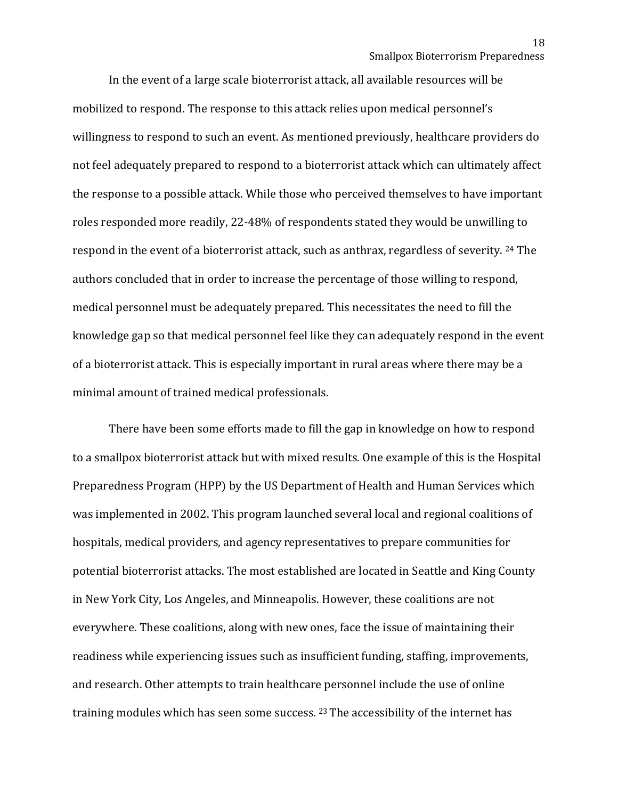In the event of a large scale bioterrorist attack, all available resources will be mobilized to respond. The response to this attack relies upon medical personnel's willingness to respond to such an event. As mentioned previously, healthcare providers do not feel adequately prepared to respond to a bioterrorist attack which can ultimately affect the response to a possible attack. While those who perceived themselves to have important roles responded more readily, 22-48% of respondents stated they would be unwilling to respond in the event of a bioterrorist attack, such as anthrax, regardless of severity. 24 The authors concluded that in order to increase the percentage of those willing to respond, medical personnel must be adequately prepared. This necessitates the need to fill the knowledge gap so that medical personnel feel like they can adequately respond in the event of a bioterrorist attack. This is especially important in rural areas where there may be a minimal amount of trained medical professionals.

There have been some efforts made to fill the gap in knowledge on how to respond to a smallpox bioterrorist attack but with mixed results. One example of this is the Hospital Preparedness Program (HPP) by the US Department of Health and Human Services which was implemented in 2002. This program launched several local and regional coalitions of hospitals, medical providers, and agency representatives to prepare communities for potential bioterrorist attacks. The most established are located in Seattle and King County in New York City, Los Angeles, and Minneapolis. However, these coalitions are not everywhere. These coalitions, along with new ones, face the issue of maintaining their readiness while experiencing issues such as insufficient funding, staffing, improvements, and research. Other attempts to train healthcare personnel include the use of online training modules which has seen some success. 23 The accessibility of the internet has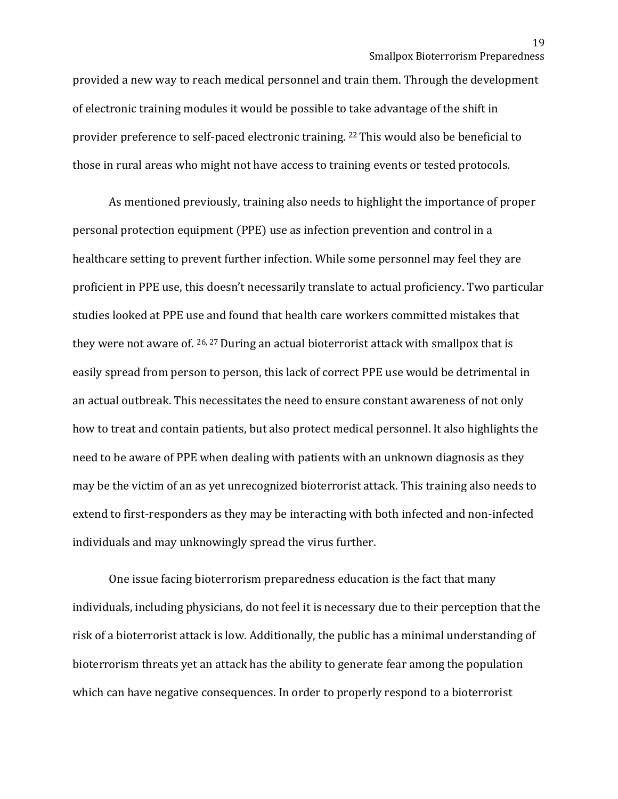provided a new way to reach medical personnel and train them. Through the development of electronic training modules it would be possible to take advantage of the shift in provider preference to self-paced electronic training. 22 This would also be beneficial to those in rural areas who might not have access to training events or tested protocols.

As mentioned previously, training also needs to highlight the importance of proper personal protection equipment (PPE) use as infection prevention and control in a healthcare setting to prevent further infection. While some personnel may feel they are proficient in PPE use, this doesn't necessarily translate to actual proficiency. Two particular studies looked at PPE use and found that health care workers committed mistakes that they were not aware of. 26, 27 During an actual bioterrorist attack with smallpox that is easily spread from person to person, this lack of correct PPE use would be detrimental in an actual outbreak. This necessitates the need to ensure constant awareness of not only how to treat and contain patients, but also protect medical personnel. It also highlights the need to be aware of PPE when dealing with patients with an unknown diagnosis as they may be the victim of an as yet unrecognized bioterrorist attack. This training also needs to extend to first-responders as they may be interacting with both infected and non-infected individuals and may unknowingly spread the virus further.

One issue facing bioterrorism preparedness education is the fact that many individuals, including physicians, do not feel it is necessary due to their perception that the risk of a bioterrorist attack is low. Additionally, the public has a minimal understanding of bioterrorism threats yet an attack has the ability to generate fear among the population which can have negative consequences. In order to properly respond to a bioterrorist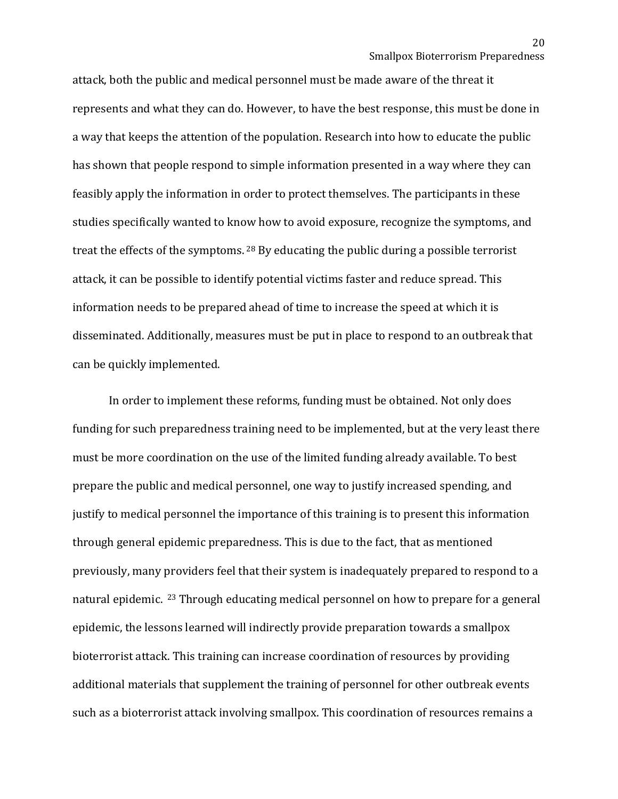attack, both the public and medical personnel must be made aware of the threat it represents and what they can do. However, to have the best response, this must be done in a way that keeps the attention of the population. Research into how to educate the public has shown that people respond to simple information presented in a way where they can feasibly apply the information in order to protect themselves. The participants in these studies specifically wanted to know how to avoid exposure, recognize the symptoms, and treat the effects of the symptoms. <sup>28</sup> By educating the public during a possible terrorist attack, it can be possible to identify potential victims faster and reduce spread. This information needs to be prepared ahead of time to increase the speed at which it is disseminated. Additionally, measures must be put in place to respond to an outbreak that can be quickly implemented.

In order to implement these reforms, funding must be obtained. Not only does funding for such preparedness training need to be implemented, but at the very least there must be more coordination on the use of the limited funding already available. To best prepare the public and medical personnel, one way to justify increased spending, and justify to medical personnel the importance of this training is to present this information through general epidemic preparedness. This is due to the fact, that as mentioned previously, many providers feel that their system is inadequately prepared to respond to a natural epidemic. 23 Through educating medical personnel on how to prepare for a general epidemic, the lessons learned will indirectly provide preparation towards a smallpox bioterrorist attack. This training can increase coordination of resources by providing additional materials that supplement the training of personnel for other outbreak events such as a bioterrorist attack involving smallpox. This coordination of resources remains a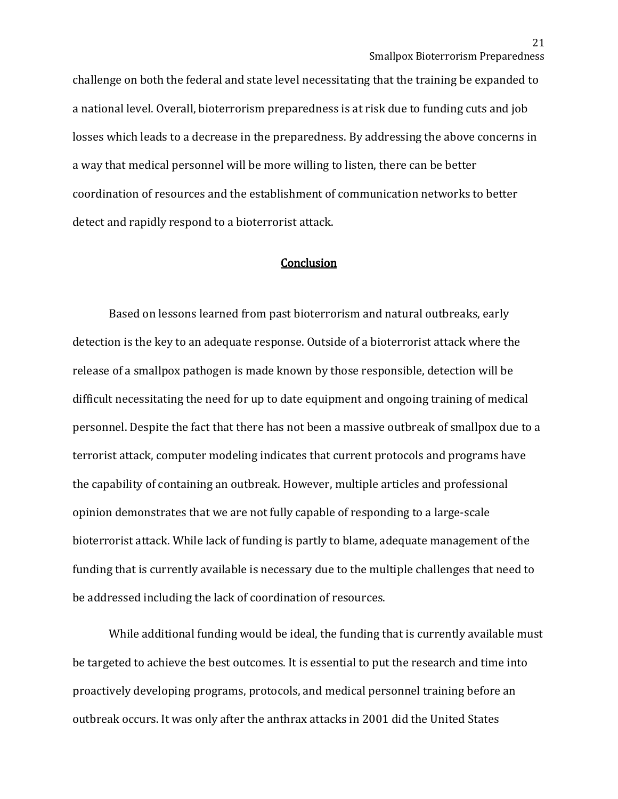challenge on both the federal and state level necessitating that the training be expanded to a national level. Overall, bioterrorism preparedness is at risk due to funding cuts and job losses which leads to a decrease in the preparedness. By addressing the above concerns in a way that medical personnel will be more willing to listen, there can be better coordination of resources and the establishment of communication networks to better detect and rapidly respond to a bioterrorist attack.

# **Conclusion**

Based on lessons learned from past bioterrorism and natural outbreaks, early detection is the key to an adequate response. Outside of a bioterrorist attack where the release of a smallpox pathogen is made known by those responsible, detection will be difficult necessitating the need for up to date equipment and ongoing training of medical personnel. Despite the fact that there has not been a massive outbreak of smallpox due to a terrorist attack, computer modeling indicates that current protocols and programs have the capability of containing an outbreak. However, multiple articles and professional opinion demonstrates that we are not fully capable of responding to a large-scale bioterrorist attack. While lack of funding is partly to blame, adequate management of the funding that is currently available is necessary due to the multiple challenges that need to be addressed including the lack of coordination of resources.

While additional funding would be ideal, the funding that is currently available must be targeted to achieve the best outcomes. It is essential to put the research and time into proactively developing programs, protocols, and medical personnel training before an outbreak occurs. It was only after the anthrax attacks in 2001 did the United States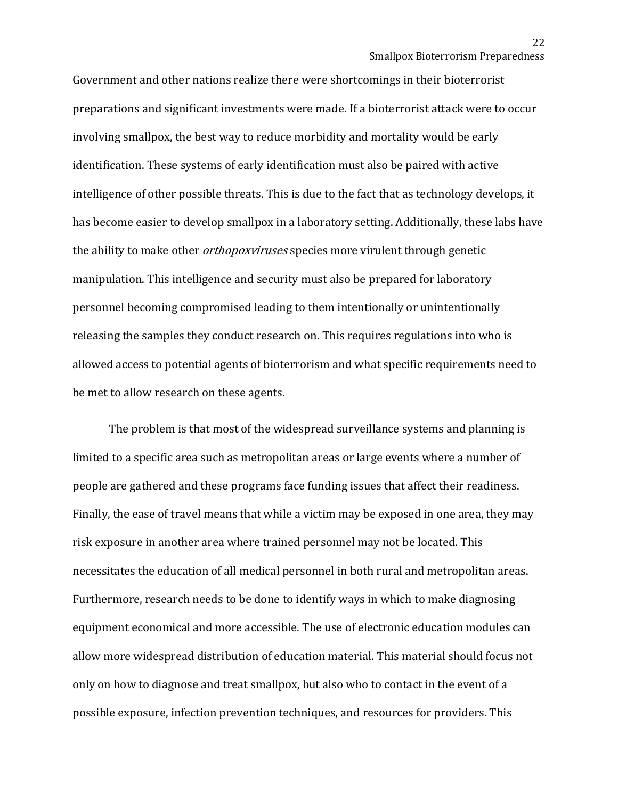Government and other nations realize there were shortcomings in their bioterrorist preparations and significant investments were made. If a bioterrorist attack were to occur involving smallpox, the best way to reduce morbidity and mortality would be early identification. These systems of early identification must also be paired with active intelligence of other possible threats. This is due to the fact that as technology develops, it has become easier to develop smallpox in a laboratory setting. Additionally, these labs have the ability to make other *orthopoxviruses* species more virulent through genetic manipulation. This intelligence and security must also be prepared for laboratory personnel becoming compromised leading to them intentionally or unintentionally releasing the samples they conduct research on. This requires regulations into who is allowed access to potential agents of bioterrorism and what specific requirements need to be met to allow research on these agents.

The problem is that most of the widespread surveillance systems and planning is limited to a specific area such as metropolitan areas or large events where a number of people are gathered and these programs face funding issues that affect their readiness. Finally, the ease of travel means that while a victim may be exposed in one area, they may risk exposure in another area where trained personnel may not be located. This necessitates the education of all medical personnel in both rural and metropolitan areas. Furthermore, research needs to be done to identify ways in which to make diagnosing equipment economical and more accessible. The use of electronic education modules can allow more widespread distribution of education material. This material should focus not only on how to diagnose and treat smallpox, but also who to contact in the event of a possible exposure, infection prevention techniques, and resources for providers. This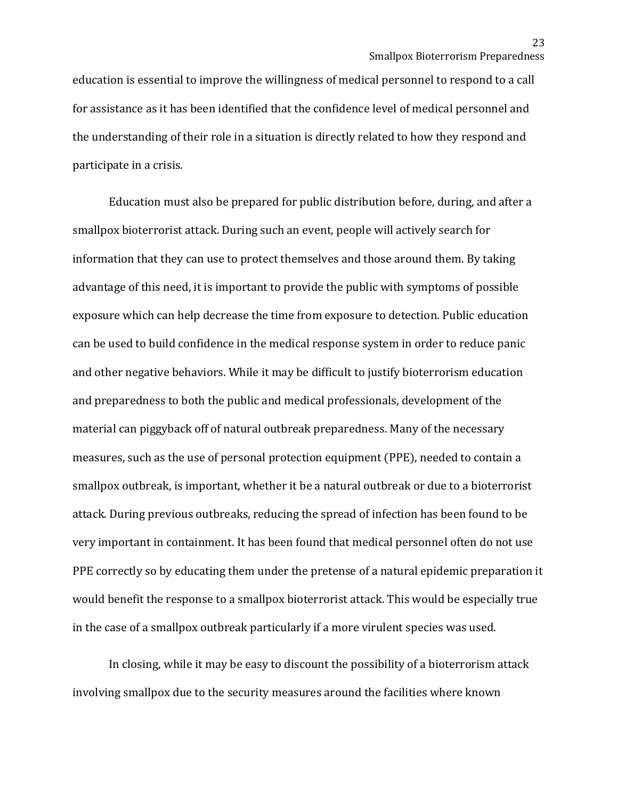education is essential to improve the willingness of medical personnel to respond to a call for assistance as it has been identified that the confidence level of medical personnel and the understanding of their role in a situation is directly related to how they respond and participate in a crisis.

Education must also be prepared for public distribution before, during, and after a smallpox bioterrorist attack. During such an event, people will actively search for information that they can use to protect themselves and those around them. By taking advantage of this need, it is important to provide the public with symptoms of possible exposure which can help decrease the time from exposure to detection. Public education can be used to build confidence in the medical response system in order to reduce panic and other negative behaviors. While it may be difficult to justify bioterrorism education and preparedness to both the public and medical professionals, development of the material can piggyback off of natural outbreak preparedness. Many of the necessary measures, such as the use of personal protection equipment (PPE), needed to contain a smallpox outbreak, is important, whether it be a natural outbreak or due to a bioterrorist attack. During previous outbreaks, reducing the spread of infection has been found to be very important in containment. It has been found that medical personnel often do not use PPE correctly so by educating them under the pretense of a natural epidemic preparation it would benefit the response to a smallpox bioterrorist attack. This would be especially true in the case of a smallpox outbreak particularly if a more virulent species was used.

In closing, while it may be easy to discount the possibility of a bioterrorism attack involving smallpox due to the security measures around the facilities where known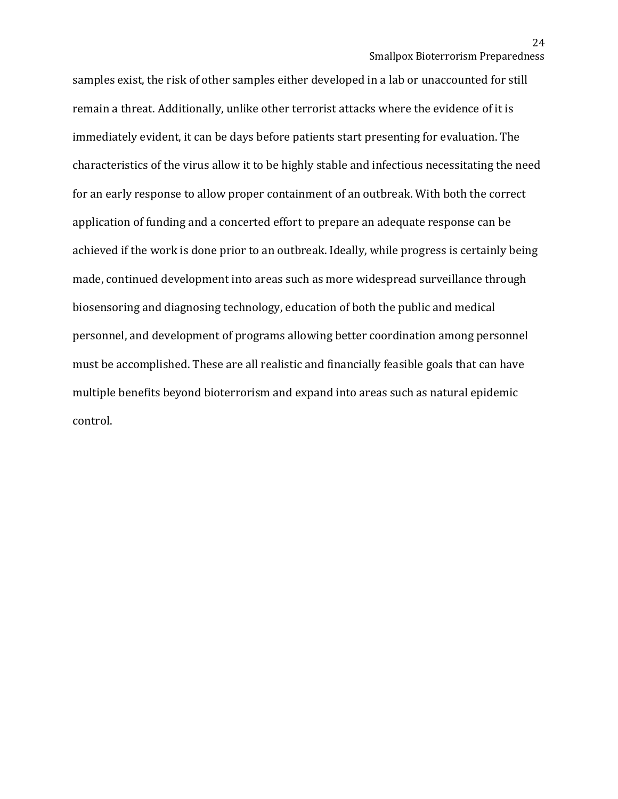samples exist, the risk of other samples either developed in a lab or unaccounted for still remain a threat. Additionally, unlike other terrorist attacks where the evidence of it is immediately evident, it can be days before patients start presenting for evaluation. The characteristics of the virus allow it to be highly stable and infectious necessitating the need for an early response to allow proper containment of an outbreak. With both the correct application of funding and a concerted effort to prepare an adequate response can be achieved if the work is done prior to an outbreak. Ideally, while progress is certainly being made, continued development into areas such as more widespread surveillance through biosensoring and diagnosing technology, education of both the public and medical personnel, and development of programs allowing better coordination among personnel must be accomplished. These are all realistic and financially feasible goals that can have multiple benefits beyond bioterrorism and expand into areas such as natural epidemic control.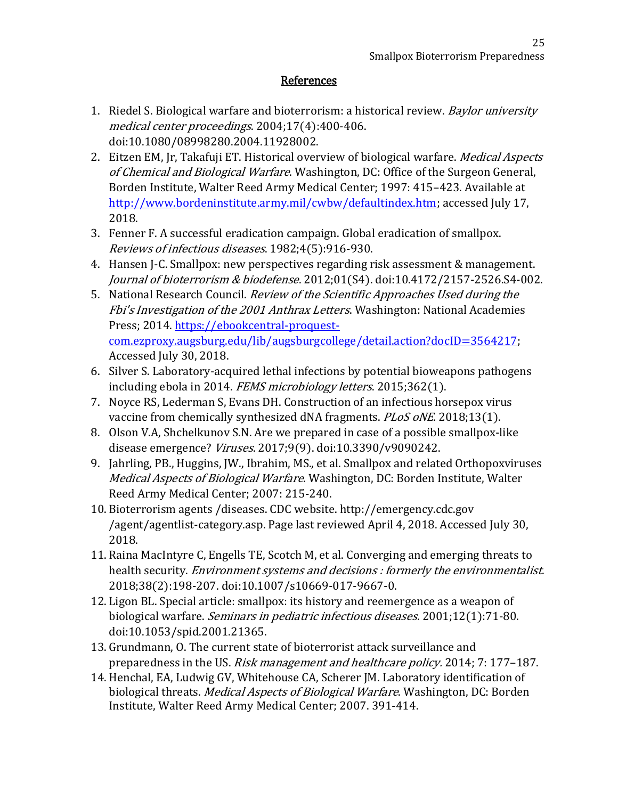# **References**

- 1. Riedel S. Biological warfare and bioterrorism: a historical review. *Baylor university* medical center proceedings. 2004;17(4):400-406. doi:10.1080/08998280.2004.11928002.
- 2. Eitzen EM, Jr, Takafuji ET. Historical overview of biological warfare. Medical Aspects of Chemical and Biological Warfare. Washington, DC: Office of the Surgeon General, Borden Institute, Walter Reed Army Medical Center; 1997: 415–423. Available at [http://www.bordeninstitute.army.mil/cwbw/defaultindex.htm;](http://www.bordeninstitute.army.mil/cwbw/defaultindex.htm) accessed July 17, 2018.
- 3. Fenner F. A successful eradication campaign. Global eradication of smallpox. Reviews of infectious diseases. 1982;4(5):916-930.
- 4. Hansen J-C. Smallpox: new perspectives regarding risk assessment & management. Journal of bioterrorism & biodefense. 2012;01(S4). doi:10.4172/2157-2526.S4-002.
- 5. National Research Council. Review of the Scientific Approaches Used during the Fbi's Investigation of the 2001 Anthrax Letters. Washington: National Academies Press; 2014. [https://ebookcentral-proquest](https://ebookcentral-proquest-com.ezproxy.augsburg.edu/lib/augsburgcollege/detail.action?docID=3564217)[com.ezproxy.augsburg.edu/lib/augsburgcollege/detail.action?docID=3564217;](https://ebookcentral-proquest-com.ezproxy.augsburg.edu/lib/augsburgcollege/detail.action?docID=3564217) Accessed July 30, 2018.
- 6. Silver S. Laboratory-acquired lethal infections by potential bioweapons pathogens including ebola in 2014. FEMS microbiology letters. 2015;362(1).
- 7. Noyce RS, Lederman S, Evans DH. Construction of an infectious horsepox virus vaccine from chemically synthesized dNA fragments. PLoS oNE. 2018;13(1).
- 8. Olson V.A, Shchelkunov S.N. Are we prepared in case of a possible smallpox-like disease emergence? Viruses. 2017;9(9). doi:10.3390/v9090242.
- 9. Jahrling, PB., Huggins, JW., Ibrahim, MS., et al. Smallpox and related Orthopoxviruses Medical Aspects of Biological Warfare. Washington, DC: Borden Institute, Walter Reed Army Medical Center; 2007: 215-240.
- 10. Bioterrorism agents /diseases. CDC website. http://emergency.cdc.gov /agent/agentlist-category.asp. Page last reviewed April 4, 2018. Accessed July 30, 2018.
- 11. Raina MacIntyre C, Engells TE, Scotch M, et al. Converging and emerging threats to health security. Environment systems and decisions : formerly the environmentalist. 2018;38(2):198-207. doi:10.1007/s10669-017-9667-0.
- 12. Ligon BL. Special article: smallpox: its history and reemergence as a weapon of biological warfare. *Seminars in pediatric infectious diseases*. 2001;12(1):71-80. doi:10.1053/spid.2001.21365.
- 13. Grundmann, O. The current state of bioterrorist attack surveillance and preparedness in the US. Risk management and healthcare policy. 2014; 7: 177–187.
- 14. Henchal, EA, Ludwig GV, Whitehouse CA, Scherer JM. Laboratory identification of biological threats. *Medical Aspects of Biological Warfare*. Washington, DC: Borden Institute, Walter Reed Army Medical Center; 2007. 391-414.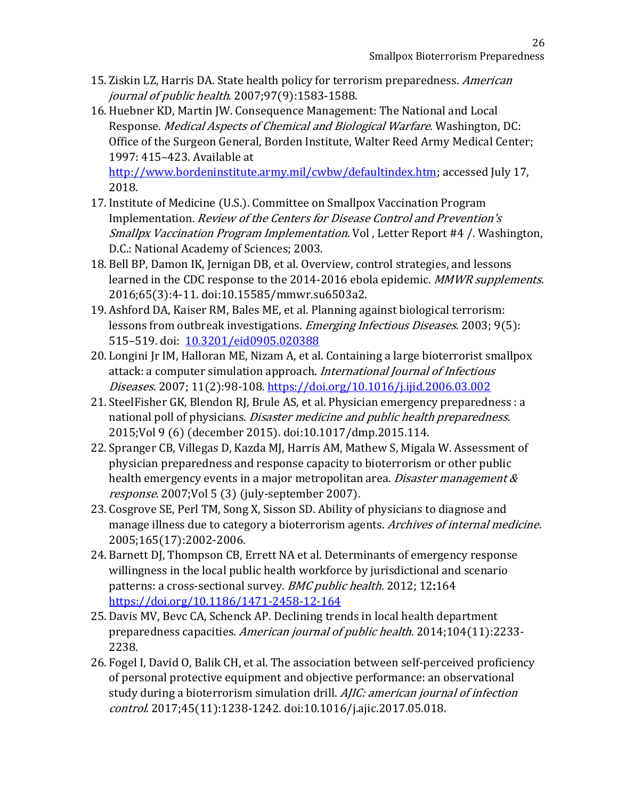- 15. Ziskin LZ, Harris DA. State health policy for terrorism preparedness. American journal of public health. 2007;97(9):1583-1588.
- 16. Huebner KD, Martin JW. Consequence Management: The National and Local Response. Medical Aspects of Chemical and Biological Warfare. Washington, DC: Office of the Surgeon General, Borden Institute, Walter Reed Army Medical Center; 1997: 415–423. Available at

[http://www.bordeninstitute.army.mil/cwbw/defaultindex.htm;](http://www.bordeninstitute.army.mil/cwbw/defaultindex.htm) accessed July 17, 2018.

- 17. Institute of Medicine (U.S.). Committee on Smallpox Vaccination Program Implementation. Review of the Centers for Disease Control and Prevention's Smallpx Vaccination Program Implementation. Vol , Letter Report #4 /. Washington, D.C.: National Academy of Sciences; 2003.
- 18. Bell BP, Damon IK, Jernigan DB, et al. Overview, control strategies, and lessons learned in the CDC response to the 2014-2016 ebola epidemic. MMWR supplements. 2016;65(3):4-11. doi:10.15585/mmwr.su6503a2.
- 19. Ashford DA, Kaiser RM, Bales ME, et al. Planning against biological terrorism: lessons from outbreak investigations. *Emerging Infectious Diseases*. 2003; 9(5): 515–519. doi: [10.3201/eid0905.020388](https://dx.doi.org/10.3201%2Feid0905.020388)
- 20. Longini Jr IM, Halloran ME, Nizam A, et al. Containing a large bioterrorist smallpox attack: a computer simulation approach. International Journal of Infectious Diseases. 2007; 11(2):98-108.<https://doi.org/10.1016/j.ijid.2006.03.002>
- 21. SteelFisher GK, Blendon RJ, Brule AS, et al. Physician emergency preparedness : a national poll of physicians. *Disaster medicine and public health preparedness*. 2015;Vol 9 (6) (december 2015). doi:10.1017/dmp.2015.114.
- 22. Spranger CB, Villegas D, Kazda MJ, Harris AM, Mathew S, Migala W. Assessment of physician preparedness and response capacity to bioterrorism or other public health emergency events in a major metropolitan area. *Disaster management &* response. 2007;Vol 5 (3) (july-september 2007).
- 23. Cosgrove SE, Perl TM, Song X, Sisson SD. Ability of physicians to diagnose and manage illness due to category a bioterrorism agents. Archives of internal medicine. 2005;165(17):2002-2006.
- 24. Barnett DJ, Thompson CB, Errett NA et al. Determinants of emergency response willingness in the local public health workforce by jurisdictional and scenario patterns: a cross-sectional survey. BMC public health. 2012; 12:164 <https://doi.org/10.1186/1471-2458-12-164>
- 25. Davis MV, Bevc CA, Schenck AP. Declining trends in local health department preparedness capacities. American journal of public health. 2014;104(11):2233- 2238.
- 26. Fogel I, David O, Balik CH, et al. The association between self-perceived proficiency of personal protective equipment and objective performance: an observational study during a bioterrorism simulation drill. AJIC: american journal of infection control. 2017;45(11):1238-1242. doi:10.1016/j.ajic.2017.05.018.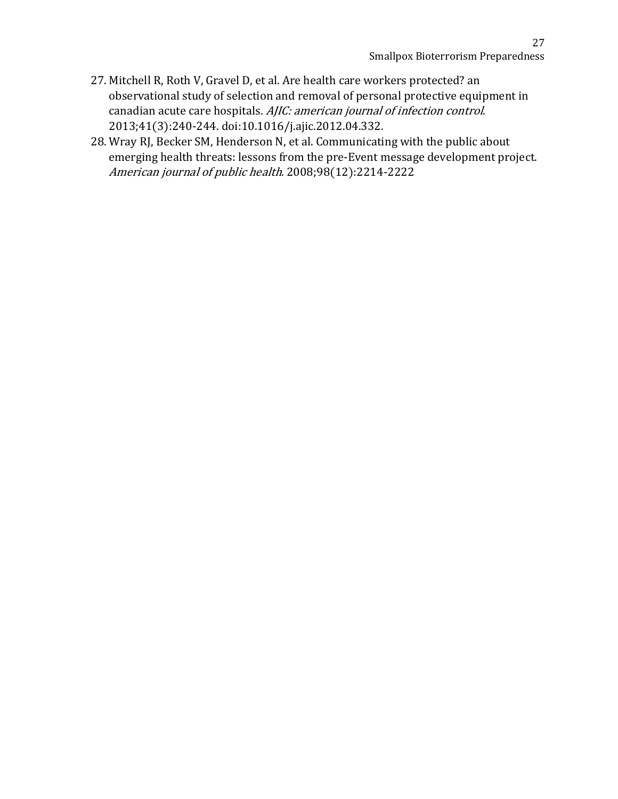- 27. Mitchell R, Roth V, Gravel D, et al. Are health care workers protected? an observational study of selection and removal of personal protective equipment in canadian acute care hospitals. AJIC: american journal of infection control. 2013;41(3):240-244. doi:10.1016/j.ajic.2012.04.332.
- 28. Wray RJ, Becker SM, Henderson N, et al. Communicating with the public about emerging health threats: lessons from the pre-Event message development project. American journal of public health. 2008;98(12):2214-2222